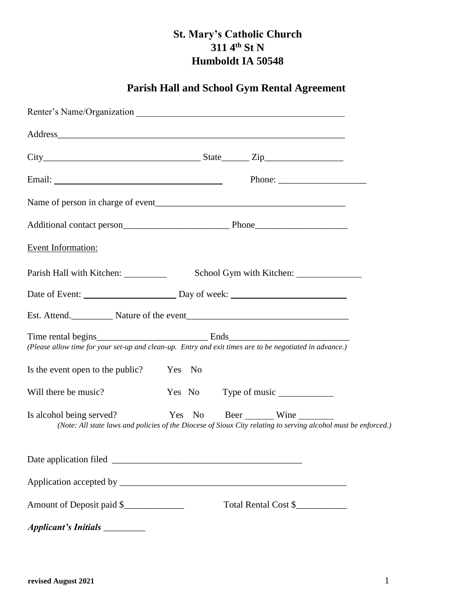## **St. Mary's Catholic Church**   $311 \, 4^{th} \,$  St N **Humboldt IA 50548**

# **Parish Hall and School Gym Rental Agreement**

|                                         | $\text{City}$ $\frac{\text{City}}{\text{City}}$ $\frac{\text{City}}{\text{city}}$ $\frac{\text{City}}{\text{city}}$                |  |
|-----------------------------------------|------------------------------------------------------------------------------------------------------------------------------------|--|
|                                         |                                                                                                                                    |  |
|                                         |                                                                                                                                    |  |
|                                         |                                                                                                                                    |  |
| <b>Event Information:</b>               |                                                                                                                                    |  |
| Parish Hall with Kitchen: ___________   | School Gym with Kitchen:                                                                                                           |  |
|                                         |                                                                                                                                    |  |
|                                         |                                                                                                                                    |  |
|                                         | (Please allow time for your set-up and clean-up. Entry and exit times are to be negotiated in advance.)                            |  |
| Is the event open to the public? Yes No |                                                                                                                                    |  |
| Will there be music?                    | Yes No                                                                                                                             |  |
| Is alcohol being served?                | Yes No Beer Wine<br>(Note: All state laws and policies of the Diocese of Sioux City relating to serving alcohol must be enforced.) |  |
|                                         |                                                                                                                                    |  |
|                                         |                                                                                                                                    |  |
| Amount of Deposit paid \$               | Total Rental Cost \$                                                                                                               |  |
|                                         |                                                                                                                                    |  |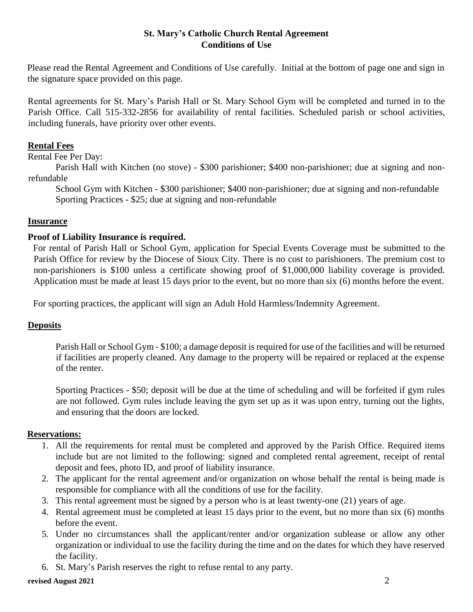### **St. Mary's Catholic Church Rental Agreement Conditions of Use**

Please read the Rental Agreement and Conditions of Use carefully. Initial at the bottom of page one and sign in the signature space provided on this page.

Rental agreements for St. Mary's Parish Hall or St. Mary School Gym will be completed and turned in to the Parish Office. Call 515-332-2856 for availability of rental facilities. Scheduled parish or school activities, including funerals, have priority over other events.

## **Rental Fees**

Rental Fee Per Day:

Parish Hall with Kitchen (no stove) - \$300 parishioner; \$400 non-parishioner; due at signing and nonrefundable

School Gym with Kitchen - \$300 parishioner; \$400 non-parishioner; due at signing and non-refundable Sporting Practices - \$25; due at signing and non-refundable

#### **Insurance**

#### **Proof of Liability Insurance is required.**

For rental of Parish Hall or School Gym, application for Special Events Coverage must be submitted to the Parish Office for review by the Diocese of Sioux City. There is no cost to parishioners. The premium cost to non-parishioners is \$100 unless a certificate showing proof of \$1,000,000 liability coverage is provided. Application must be made at least 15 days prior to the event, but no more than six (6) months before the event.

For sporting practices, the applicant will sign an Adult Hold Harmless/Indemnity Agreement.

#### **Deposits**

Parish Hall or School Gym - \$100; a damage deposit is required for use of the facilities and will be returned if facilities are properly cleaned. Any damage to the property will be repaired or replaced at the expense of the renter.

Sporting Practices - \$50; deposit will be due at the time of scheduling and will be forfeited if gym rules are not followed. Gym rules include leaving the gym set up as it was upon entry, turning out the lights, and ensuring that the doors are locked.

#### **Reservations:**

- 1. All the requirements for rental must be completed and approved by the Parish Office. Required items include but are not limited to the following: signed and completed rental agreement, receipt of rental deposit and fees, photo ID, and proof of liability insurance.
- 2. The applicant for the rental agreement and/or organization on whose behalf the rental is being made is responsible for compliance with all the conditions of use for the facility.
- 3. This rental agreement must be signed by a person who is at least twenty-one (21) years of age.
- 4. Rental agreement must be completed at least 15 days prior to the event, but no more than six (6) months before the event.
- 5. Under no circumstances shall the applicant/renter and/or organization sublease or allow any other organization or individual to use the facility during the time and on the dates for which they have reserved the facility.
- 6. St. Mary's Parish reserves the right to refuse rental to any party.

#### **revised August 2021** 2